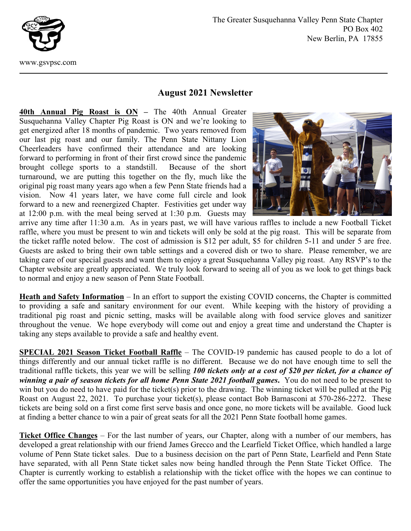

## **August 2021 Newsletter**

**40th Annual Pig Roast is ON –** The 40th Annual Greater Susquehanna Valley Chapter Pig Roast is ON and we're looking to get energized after 18 months of pandemic. Two years removed from our last pig roast and our family. The Penn State Nittany Lion Cheerleaders have confirmed their attendance and are looking forward to performing in front of their first crowd since the pandemic brought college sports to a standstill. Because of the short turnaround, we are putting this together on the fly, much like the original pig roast many years ago when a few Penn State friends had a vision. Now 41 years later, we have come full circle and look forward to a new and reenergized Chapter. Festivities get under way at 12:00 p.m. with the meal being served at 1:30 p.m. Guests may



arrive any time after 11:30 a.m. As in years past, we will have various raffles to include a new Football Ticket raffle, where you must be present to win and tickets will only be sold at the pig roast. This will be separate from the ticket raffle noted below. The cost of admission is \$12 per adult, \$5 for children 5-11 and under 5 are free. Guests are asked to bring their own table settings and a covered dish or two to share. Please remember, we are taking care of our special guests and want them to enjoy a great Susquehanna Valley pig roast. Any RSVP's to the Chapter website are greatly appreciated. We truly look forward to seeing all of you as we look to get things back to normal and enjoy a new season of Penn State Football.

**Heath and Safety Information** – In an effort to support the existing COVID concerns, the Chapter is committed to providing a safe and sanitary environment for our event. While keeping with the history of providing a traditional pig roast and picnic setting, masks will be available along with food service gloves and sanitizer throughout the venue. We hope everybody will come out and enjoy a great time and understand the Chapter is taking any steps available to provide a safe and healthy event.

**SPECIAL 2021 Season Ticket Football Raffle** – The COVID-19 pandemic has caused people to do a lot of things differently and our annual ticket raffle is no different. Because we do not have enough time to sell the traditional raffle tickets, this year we will be selling *100 tickets only at a cost of \$20 per ticket, for a chance of winning a pair of season tickets for all home Penn State 2021 football games***.** You do not need to be present to win but you do need to have paid for the ticket(s) prior to the drawing. The winning ticket will be pulled at the Pig Roast on August 22, 2021. To purchase your ticket(s), please contact Bob Barnasconi at 570-286-2272. These tickets are being sold on a first come first serve basis and once gone, no more tickets will be available. Good luck at finding a better chance to win a pair of great seats for all the 2021 Penn State football home games.

**Ticket Office Changes** – For the last number of years, our Chapter, along with a number of our members, has developed a great relationship with our friend James Grecco and the Learfield Ticket Office, which handled a large volume of Penn State ticket sales. Due to a business decision on the part of Penn State, Learfield and Penn State have separated, with all Penn State ticket sales now being handled through the Penn State Ticket Office. The Chapter is currently working to establish a relationship with the ticket office with the hopes we can continue to offer the same opportunities you have enjoyed for the past number of years.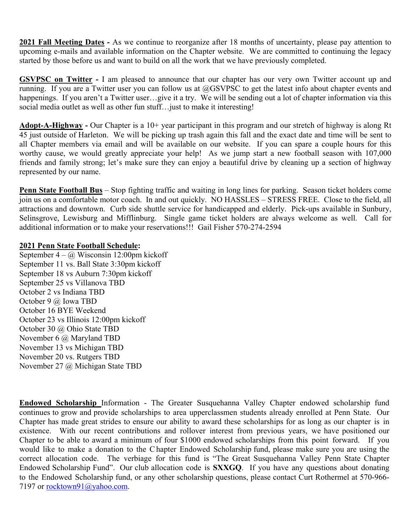**2021 Fall Meeting Dates -** As we continue to reorganize after 18 months of uncertainty, please pay attention to upcoming e-mails and available information on the Chapter website. We are committed to continuing the legacy started by those before us and want to build on all the work that we have previously completed.

**GSVPSC on Twitter -** I am pleased to announce that our chapter has our very own Twitter account up and running. If you are a Twitter user you can follow us at @GSVPSC to get the latest info about chapter events and happenings. If you aren't a Twitter user...give it a try. We will be sending out a lot of chapter information via this social media outlet as well as other fun stuff...just to make it interesting!

**Adopt-A-Highway -** Our Chapter is a 10+ year participant in this program and our stretch of highway is along Rt 45 just outside of Harleton. We will be picking up trash again this fall and the exact date and time will be sent to all Chapter members via email and will be available on our website. If you can spare a couple hours for this worthy cause, we would greatly appreciate your help! As we jump start a new football season with 107,000 friends and family strong; let's make sure they can enjoy a beautiful drive by cleaning up a section of highway represented by our name.

**Penn State Football Bus** – Stop fighting traffic and waiting in long lines for parking. Season ticket holders come join us on a comfortable motor coach. In and out quickly. NO HASSLES – STRESS FREE. Close to the field, all attractions and downtown. Curb side shuttle service for handicapped and elderly. Pick-ups available in Sunbury, Selinsgrove, Lewisburg and Mifflinburg. Single game ticket holders are always welcome as well. Call for additional information or to make your reservations!!! Gail Fisher 570-274-2594

## **2021 Penn State Football Schedule:**

September  $4 - \omega$  Wisconsin 12:00pm kickoff September 11 vs. Ball State 3:30pm kickoff September 18 vs Auburn 7:30pm kickoff September 25 vs Villanova TBD October 2 vs Indiana TBD October 9 @ Iowa TBD October 16 BYE Weekend October 23 vs Illinois 12:00pm kickoff October 30 @ Ohio State TBD November 6 @ Maryland TBD November 13 vs Michigan TBD November 20 vs. Rutgers TBD November 27 @ Michigan State TBD

**Endowed Scholarship** Information - The Greater Susquehanna Valley Chapter endowed scholarship fund continues to grow and provide scholarships to area upperclassmen students already enrolled at Penn State. Our Chapter has made great strides to ensure our ability to award these scholarships for as long as our chapter is in existence. With our recent contributions and rollover interest from previous years, we have positioned our Chapter to be able to award a minimum of four \$1000 endowed scholarships from this point forward. If you would like to make a donation to the C hapter Endowed Scholarship fund, please make sure you are using the correct allocation code. The verbiage for this fund is "The Great Susquehanna Valley Penn State Chapter Endowed Scholarship Fund". Our club allocation code is **SXXGQ**. If you have any questions about donating to the Endowed Scholarship fund, or any other scholarship questions, please contact Curt Rothermel at 570-966- 7197 or rocktown91@yahoo.com.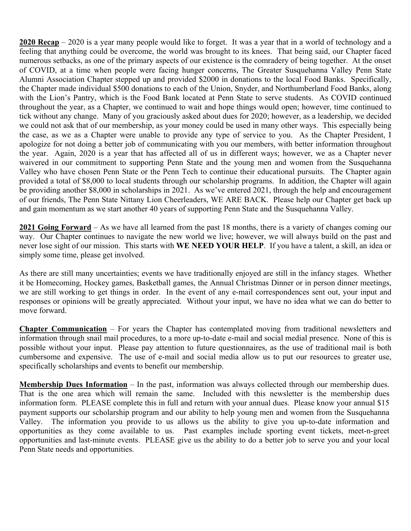**2020 Recap** – 2020 is a year many people would like to forget. It was a year that in a world of technology and a feeling that anything could be overcome, the world was brought to its knees. That being said, our Chapter faced numerous setbacks, as one of the primary aspects of our existence is the comradery of being together. At the onset of COVID, at a time when people were facing hunger concerns, The Greater Susquehanna Valley Penn State Alumni Association Chapter stepped up and provided \$2000 in donations to the local Food Banks. Specifically, the Chapter made individual \$500 donations to each of the Union, Snyder, and Northumberland Food Banks, along with the Lion's Pantry, which is the Food Bank located at Penn State to serve students. As COVID continued throughout the year, as a Chapter, we continued to wait and hope things would open; however, time continued to tick without any change. Many of you graciously asked about dues for 2020; however, as a leadership, we decided we could not ask that of our membership, as your money could be used in many other ways. This especially being the case, as we as a Chapter were unable to provide any type of service to you. As the Chapter President, I apologize for not doing a better job of communicating with you our members, with better information throughout the year. Again, 2020 is a year that has affected all of us in different ways; however, we as a Chapter never waivered in our commitment to supporting Penn State and the young men and women from the Susquehanna Valley who have chosen Penn State or the Penn Tech to continue their educational pursuits. The Chapter again provided a total of \$8,000 to local students through our scholarship programs. In addition, the Chapter will again be providing another \$8,000 in scholarships in 2021. As we've entered 2021, through the help and encouragement of our friends, The Penn State Nittany Lion Cheerleaders, WE ARE BACK. Please help our Chapter get back up and gain momentum as we start another 40 years of supporting Penn State and the Susquehanna Valley.

**2021 Going Forward** – As we have all learned from the past 18 months, there is a variety of changes coming our way. Our Chapter continues to navigate the new world we live; however, we will always build on the past and never lose sight of our mission. This starts with **WE NEED YOUR HELP**. If you have a talent, a skill, an idea or simply some time, please get involved.

As there are still many uncertainties; events we have traditionally enjoyed are still in the infancy stages. Whether it be Homecoming, Hockey games, Basketball games, the Annual Christmas Dinner or in person dinner meetings, we are still working to get things in order. In the event of any e-mail correspondences sent out, your input and responses or opinions will be greatly appreciated. Without your input, we have no idea what we can do better to move forward.

**Chapter Communication** – For years the Chapter has contemplated moving from traditional newsletters and information through snail mail procedures, to a more up-to-date e-mail and social medial presence. None of this is possible without your input. Please pay attention to future questionnaires, as the use of traditional mail is both cumbersome and expensive. The use of e-mail and social media allow us to put our resources to greater use, specifically scholarships and events to benefit our membership.

**Membership Dues Information** – In the past, information was always collected through our membership dues. That is the one area which will remain the same. Included with this newsletter is the membership dues information form. PLEASE complete this in full and return with your annual dues. Please know your annual \$15 payment supports our scholarship program and our ability to help young men and women from the Susquehanna Valley. The information you provide to us allows us the ability to give you up-to-date information and opportunities as they come available to us. Past examples include sporting event tickets, meet-n-greet opportunities and last-minute events. PLEASE give us the ability to do a better job to serve you and your local Penn State needs and opportunities.